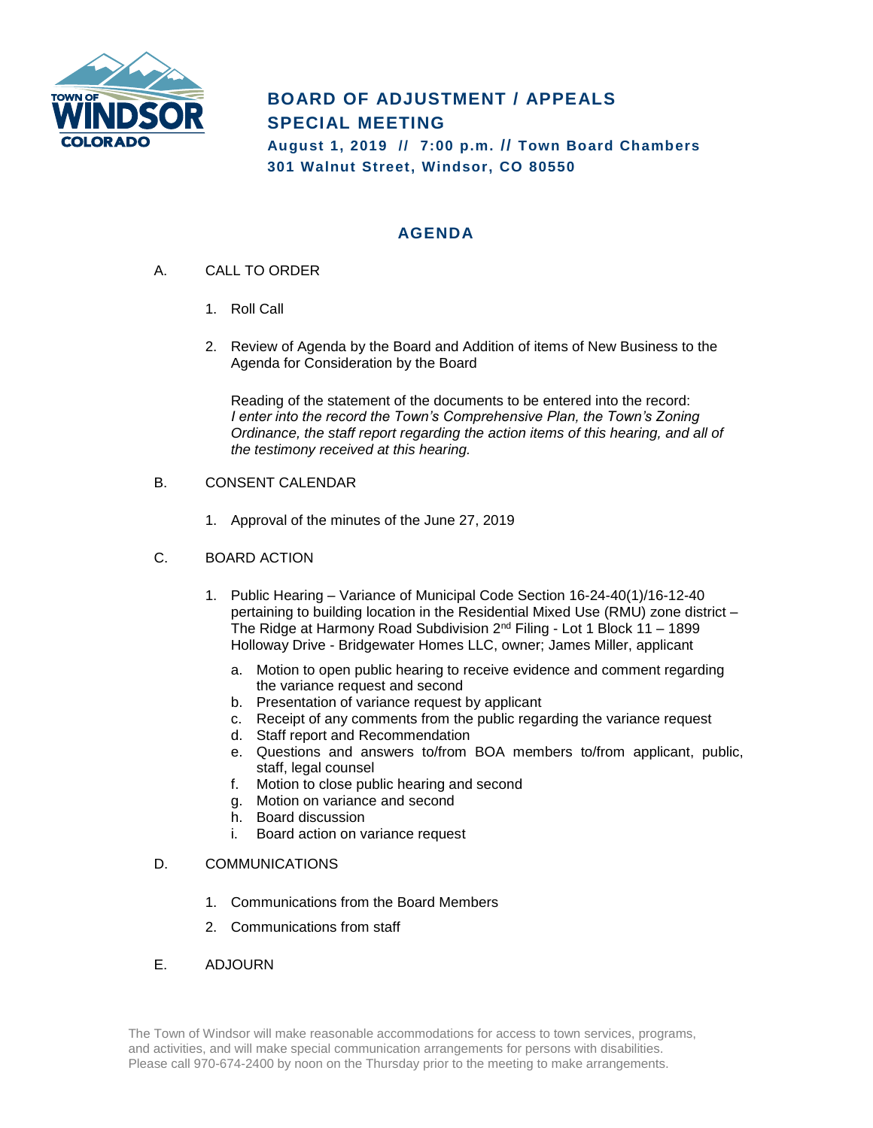

# **BOARD OF ADJUSTMENT / APPEALS SPECIAL MEETING**

**August 1, 2019 // 7:00 p.m. // Town Board Chambers 301 Walnut Street, Windsor, CO 80550**

## **AGENDA**

- A. CALL TO ORDER
	- 1. Roll Call
	- 2. Review of Agenda by the Board and Addition of items of New Business to the Agenda for Consideration by the Board

Reading of the statement of the documents to be entered into the record: *I* enter into the record the Town's Comprehensive Plan, the Town's Zoning *Ordinance, the staff report regarding the action items of this hearing, and all of the testimony received at this hearing.*

#### B. CONSENT CALENDAR

- 1. Approval of the minutes of the June 27, 2019
- C. BOARD ACTION
	- 1. Public Hearing Variance of Municipal Code Section 16-24-40(1)/16-12-40 pertaining to building location in the Residential Mixed Use (RMU) zone district – The Ridge at Harmony Road Subdivision 2nd Filing - Lot 1 Block 11 – 1899 Holloway Drive - Bridgewater Homes LLC, owner; James Miller, applicant
		- a. Motion to open public hearing to receive evidence and comment regarding the variance request and second
		- b. Presentation of variance request by applicant
		- c. Receipt of any comments from the public regarding the variance request
		- d. Staff report and Recommendation
		- e. Questions and answers to/from BOA members to/from applicant, public, staff, legal counsel
		- f. Motion to close public hearing and second
		- g. Motion on variance and second
		- h. Board discussion
		- i. Board action on variance request

#### D. COMMUNICATIONS

- 1. Communications from the Board Members
- 2. Communications from staff
- E. ADJOURN